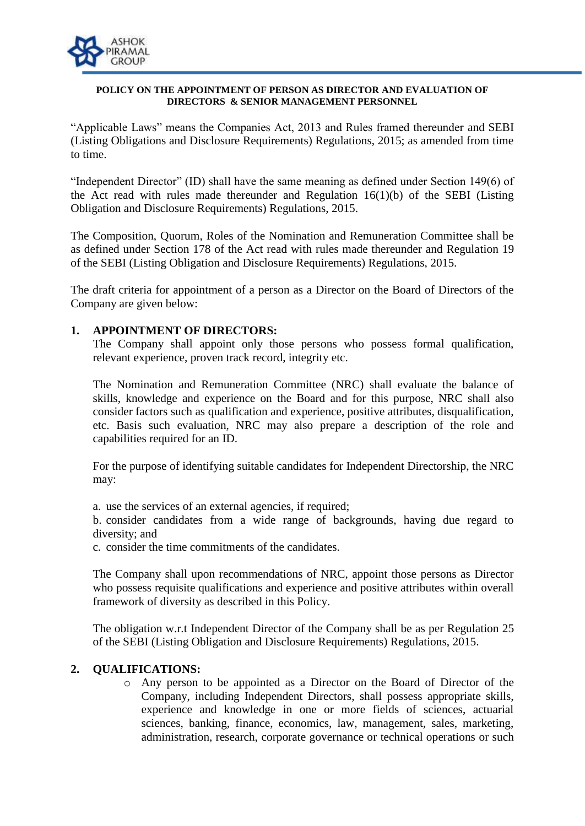

#### **POLICY ON THE APPOINTMENT OF PERSON AS DIRECTOR AND EVALUATION OF DIRECTORS & SENIOR MANAGEMENT PERSONNEL**

"Applicable Laws" means the Companies Act, 2013 and Rules framed thereunder and SEBI (Listing Obligations and Disclosure Requirements) Regulations, 2015; as amended from time to time.

"Independent Director" (ID) shall have the same meaning as defined under Section 149(6) of the Act read with rules made thereunder and Regulation  $16(1)(b)$  of the SEBI (Listing Obligation and Disclosure Requirements) Regulations, 2015.

The Composition, Quorum, Roles of the Nomination and Remuneration Committee shall be as defined under Section 178 of the Act read with rules made thereunder and Regulation 19 of the SEBI (Listing Obligation and Disclosure Requirements) Regulations, 2015.

The draft criteria for appointment of a person as a Director on the Board of Directors of the Company are given below:

### **1. APPOINTMENT OF DIRECTORS:**

The Company shall appoint only those persons who possess formal qualification, relevant experience, proven track record, integrity etc.

The Nomination and Remuneration Committee (NRC) shall evaluate the balance of skills, knowledge and experience on the Board and for this purpose, NRC shall also consider factors such as qualification and experience, positive attributes, disqualification, etc. Basis such evaluation, NRC may also prepare a description of the role and capabilities required for an ID.

For the purpose of identifying suitable candidates for Independent Directorship, the NRC may:

a. use the services of an external agencies, if required;

b. consider candidates from a wide range of backgrounds, having due regard to diversity; and

c. consider the time commitments of the candidates.

The Company shall upon recommendations of NRC, appoint those persons as Director who possess requisite qualifications and experience and positive attributes within overall framework of diversity as described in this Policy.

The obligation w.r.t Independent Director of the Company shall be as per Regulation 25 of the SEBI (Listing Obligation and Disclosure Requirements) Regulations, 2015.

# **2. QUALIFICATIONS:**

o Any person to be appointed as a Director on the Board of Director of the Company, including Independent Directors, shall possess appropriate skills, experience and knowledge in one or more fields of sciences, actuarial sciences, banking, finance, economics, law, management, sales, marketing, administration, research, corporate governance or technical operations or such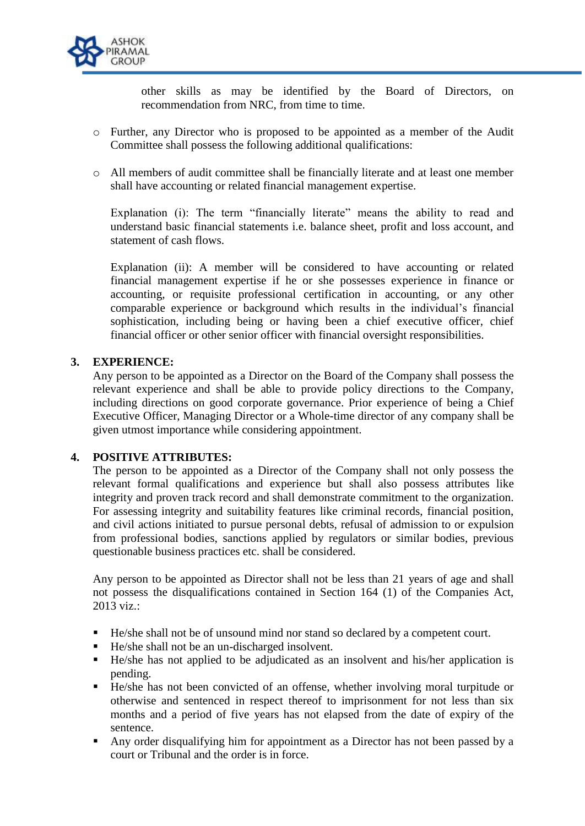

other skills as may be identified by the Board of Directors, on recommendation from NRC, from time to time.

- o Further, any Director who is proposed to be appointed as a member of the Audit Committee shall possess the following additional qualifications:
- o All members of audit committee shall be financially literate and at least one member shall have accounting or related financial management expertise.

Explanation (i): The term "financially literate" means the ability to read and understand basic financial statements i.e. balance sheet, profit and loss account, and statement of cash flows.

Explanation (ii): A member will be considered to have accounting or related financial management expertise if he or she possesses experience in finance or accounting, or requisite professional certification in accounting, or any other comparable experience or background which results in the individual's financial sophistication, including being or having been a chief executive officer, chief financial officer or other senior officer with financial oversight responsibilities.

### **3. EXPERIENCE:**

Any person to be appointed as a Director on the Board of the Company shall possess the relevant experience and shall be able to provide policy directions to the Company, including directions on good corporate governance. Prior experience of being a Chief Executive Officer, Managing Director or a Whole-time director of any company shall be given utmost importance while considering appointment.

### **4. POSITIVE ATTRIBUTES:**

The person to be appointed as a Director of the Company shall not only possess the relevant formal qualifications and experience but shall also possess attributes like integrity and proven track record and shall demonstrate commitment to the organization. For assessing integrity and suitability features like criminal records, financial position, and civil actions initiated to pursue personal debts, refusal of admission to or expulsion from professional bodies, sanctions applied by regulators or similar bodies, previous questionable business practices etc. shall be considered.

Any person to be appointed as Director shall not be less than 21 years of age and shall not possess the disqualifications contained in Section 164 (1) of the Companies Act, 2013 viz.:

- He/she shall not be of unsound mind nor stand so declared by a competent court.
- He/she shall not be an un-discharged insolvent.
- He/she has not applied to be adjudicated as an insolvent and his/her application is pending.
- He/she has not been convicted of an offense, whether involving moral turpitude or otherwise and sentenced in respect thereof to imprisonment for not less than six months and a period of five years has not elapsed from the date of expiry of the sentence.
- Any order disqualifying him for appointment as a Director has not been passed by a court or Tribunal and the order is in force.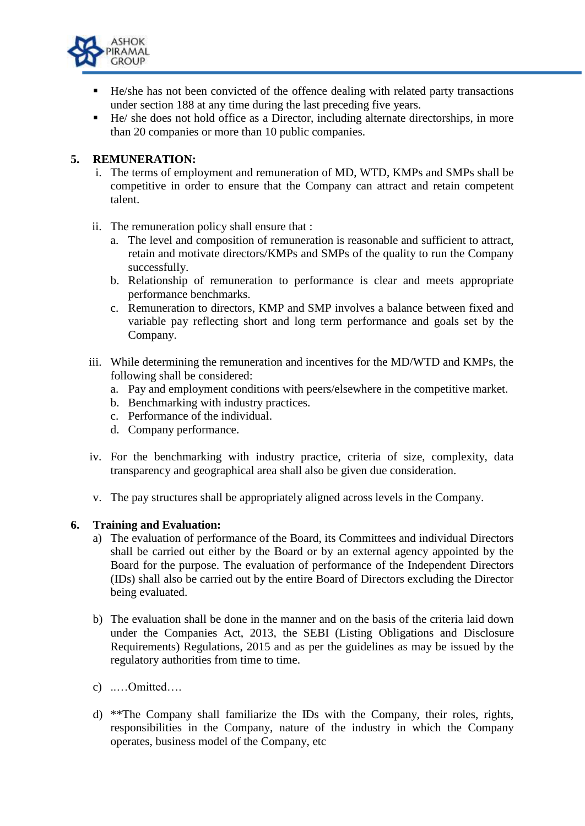

- He/she has not been convicted of the offence dealing with related party transactions under section 188 at any time during the last preceding five years.
- He/ she does not hold office as a Director, including alternate directorships, in more than 20 companies or more than 10 public companies.

# **5. REMUNERATION:**

- i. The terms of employment and remuneration of MD, WTD, KMPs and SMPs shall be competitive in order to ensure that the Company can attract and retain competent talent.
- ii. The remuneration policy shall ensure that :
	- a. The level and composition of remuneration is reasonable and sufficient to attract, retain and motivate directors/KMPs and SMPs of the quality to run the Company successfully.
	- b. Relationship of remuneration to performance is clear and meets appropriate performance benchmarks.
	- c. Remuneration to directors, KMP and SMP involves a balance between fixed and variable pay reflecting short and long term performance and goals set by the Company.
- iii. While determining the remuneration and incentives for the MD/WTD and KMPs, the following shall be considered:
	- a. Pay and employment conditions with peers/elsewhere in the competitive market.
	- b. Benchmarking with industry practices.
	- c. Performance of the individual.
	- d. Company performance.
- iv. For the benchmarking with industry practice, criteria of size, complexity, data transparency and geographical area shall also be given due consideration.
- v. The pay structures shall be appropriately aligned across levels in the Company.

### **6. Training and Evaluation:**

- a) The evaluation of performance of the Board, its Committees and individual Directors shall be carried out either by the Board or by an external agency appointed by the Board for the purpose. The evaluation of performance of the Independent Directors (IDs) shall also be carried out by the entire Board of Directors excluding the Director being evaluated.
- b) The evaluation shall be done in the manner and on the basis of the criteria laid down under the Companies Act, 2013, the SEBI (Listing Obligations and Disclosure Requirements) Regulations, 2015 and as per the guidelines as may be issued by the regulatory authorities from time to time.
- c) ..…Omitted….
- d) \*\*The Company shall familiarize the IDs with the Company, their roles, rights, responsibilities in the Company, nature of the industry in which the Company operates, business model of the Company, etc